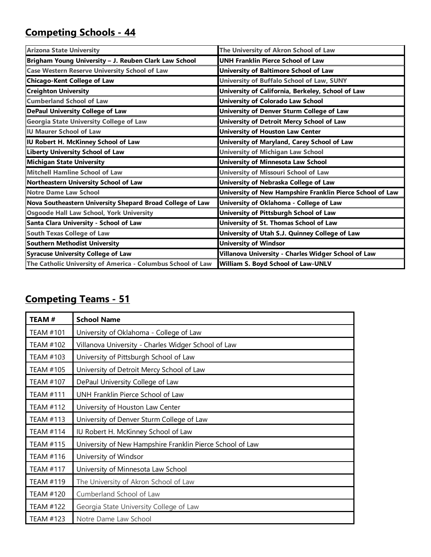## **Competing Schools - 44**

| <b>Arizona State University</b>                             | The University of Akron School of Law                     |
|-------------------------------------------------------------|-----------------------------------------------------------|
| Brigham Young University - J. Reuben Clark Law School       | <b>UNH Franklin Pierce School of Law</b>                  |
| <b>Case Western Reserve University School of Law</b>        | University of Baltimore School of Law                     |
| <b>Chicago-Kent College of Law</b>                          | University of Buffalo School of Law, SUNY                 |
| <b>Creighton University</b>                                 | University of California, Berkeley, School of Law         |
| <b>Cumberland School of Law</b>                             | <b>University of Colorado Law School</b>                  |
| <b>DePaul University College of Law</b>                     | University of Denver Sturm College of Law                 |
| <b>Georgia State University College of Law</b>              | University of Detroit Mercy School of Law                 |
| <b>IU Maurer School of Law</b>                              | <b>University of Houston Law Center</b>                   |
| IU Robert H. McKinney School of Law                         | University of Maryland, Carey School of Law               |
| <b>Liberty University School of Law</b>                     | <b>University of Michigan Law School</b>                  |
| <b>Michigan State University</b>                            | University of Minnesota Law School                        |
| <b>Mitchell Hamline School of Law</b>                       | University of Missouri School of Law                      |
| Northeastern University School of Law                       | University of Nebraska College of Law                     |
| <b>Notre Dame Law School</b>                                | University of New Hampshire Franklin Pierce School of Law |
| Nova Southeastern University Shepard Broad College of Law   | University of Oklahoma - College of Law                   |
| <b>Osgoode Hall Law School, York University</b>             | University of Pittsburgh School of Law                    |
| Santa Clara University - School of Law                      | University of St. Thomas School of Law                    |
| <b>South Texas College of Law</b>                           | University of Utah S.J. Quinney College of Law            |
| <b>Southern Methodist University</b>                        | <b>University of Windsor</b>                              |
| <b>Syracuse University College of Law</b>                   | Villanova University - Charles Widger School of Law       |
| The Catholic University of America - Columbus School of Law | William S. Boyd School of Law-UNLV                        |

## **Competing Teams - 51**

| <b>TEAM#</b>     | <b>School Name</b>                                        |
|------------------|-----------------------------------------------------------|
| <b>TEAM #101</b> | University of Oklahoma - College of Law                   |
| <b>TEAM #102</b> | Villanova University - Charles Widger School of Law       |
| <b>TEAM #103</b> | University of Pittsburgh School of Law                    |
| <b>TEAM #105</b> | University of Detroit Mercy School of Law                 |
| <b>TEAM #107</b> | DePaul University College of Law                          |
| <b>TEAM #111</b> | UNH Franklin Pierce School of Law                         |
| <b>TEAM #112</b> | University of Houston Law Center                          |
| <b>TEAM #113</b> | University of Denver Sturm College of Law                 |
| <b>TEAM #114</b> | IU Robert H. McKinney School of Law                       |
| <b>TEAM #115</b> | University of New Hampshire Franklin Pierce School of Law |
| TEAM #116        | University of Windsor                                     |
| <b>TEAM #117</b> | University of Minnesota Law School                        |
| <b>TEAM #119</b> | The University of Akron School of Law                     |
| <b>TEAM #120</b> | Cumberland School of Law                                  |
| <b>TEAM #122</b> | Georgia State University College of Law                   |
| <b>TEAM #123</b> | Notre Dame Law School                                     |